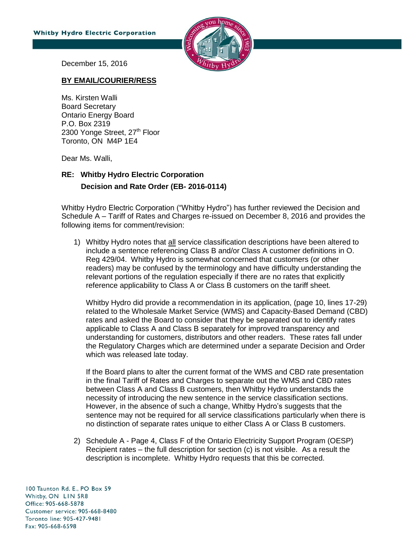

December 15, 2016

## **BY EMAIL/COURIER/RESS**

Ms. Kirsten Walli Board Secretary Ontario Energy Board P.O. Box 2319 2300 Yonge Street, 27<sup>th</sup> Floor Toronto, ON M4P 1E4

Dear Ms. Walli,

## **RE: Whitby Hydro Electric Corporation Decision and Rate Order (EB- 2016-0114)**

Whitby Hydro Electric Corporation ("Whitby Hydro") has further reviewed the Decision and Schedule A – Tariff of Rates and Charges re-issued on December 8, 2016 and provides the following items for comment/revision:

1) Whitby Hydro notes that all service classification descriptions have been altered to include a sentence referencing Class B and/or Class A customer definitions in O. Reg 429/04. Whitby Hydro is somewhat concerned that customers (or other readers) may be confused by the terminology and have difficulty understanding the relevant portions of the regulation especially if there are no rates that explicitly reference applicability to Class A or Class B customers on the tariff sheet.

Whitby Hydro did provide a recommendation in its application, (page 10, lines 17-29) related to the Wholesale Market Service (WMS) and Capacity-Based Demand (CBD) rates and asked the Board to consider that they be separated out to identify rates applicable to Class A and Class B separately for improved transparency and understanding for customers, distributors and other readers. These rates fall under the Regulatory Charges which are determined under a separate Decision and Order which was released late today.

If the Board plans to alter the current format of the WMS and CBD rate presentation in the final Tariff of Rates and Charges to separate out the WMS and CBD rates between Class A and Class B customers, then Whitby Hydro understands the necessity of introducing the new sentence in the service classification sections. However, in the absence of such a change, Whitby Hydro's suggests that the sentence may not be required for all service classifications particularly when there is no distinction of separate rates unique to either Class A or Class B customers.

2) Schedule A - Page 4, Class F of the Ontario Electricity Support Program (OESP) Recipient rates – the full description for section (c) is not visible. As a result the description is incomplete. Whitby Hydro requests that this be corrected.

100 Taunton Rd. E., PO Box 59 Whitby, ON LIN 5R8 Office: 905-668-5878 Customer service: 905-668-8480 Toronto line: 905-427-9481 Fax: 905-668-6598